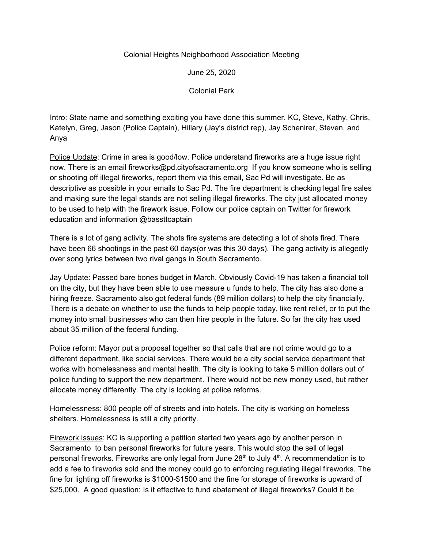## Colonial Heights Neighborhood Association Meeting

June 25, 2020

Colonial Park

Intro: State name and something exciting you have done this summer. KC, Steve, Kathy, Chris, Katelyn, Greg, Jason (Police Captain), Hillary (Jay's district rep), Jay Schenirer, Steven, and Anya

Police Update: Crime in area is good/low. Police understand fireworks are a huge issue right now. There is an email fireworks@pd.cityofsacramento.org If you know someone who is selling or shooting off illegal fireworks, report them via this email, Sac Pd will investigate. Be as descriptive as possible in your emails to Sac Pd. The fire department is checking legal fire sales and making sure the legal stands are not selling illegal fireworks. The city just allocated money to be used to help with the firework issue. Follow our police captain on Twitter for firework education and information @bassttcaptain

There is a lot of gang activity. The shots fire systems are detecting a lot of shots fired. There have been 66 shootings in the past 60 days(or was this 30 days). The gang activity is allegedly over song lyrics between two rival gangs in South Sacramento.

Jay Update: Passed bare bones budget in March. Obviously Covid-19 has taken a financial toll on the city, but they have been able to use measure u funds to help. The city has also done a hiring freeze. Sacramento also got federal funds (89 million dollars) to help the city financially. There is a debate on whether to use the funds to help people today, like rent relief, or to put the money into small businesses who can then hire people in the future. So far the city has used about 35 million of the federal funding.

Police reform: Mayor put a proposal together so that calls that are not crime would go to a different department, like social services. There would be a city social service department that works with homelessness and mental health. The city is looking to take 5 million dollars out of police funding to support the new department. There would not be new money used, but rather allocate money differently. The city is looking at police reforms.

Homelessness: 800 people off of streets and into hotels. The city is working on homeless shelters. Homelessness is still a city priority.

Firework issues: KC is supporting a petition started two years ago by another person in Sacramento to ban personal fireworks for future years. This would stop the sell of legal personal fireworks. Fireworks are only legal from June 28<sup>th</sup> to July 4<sup>th</sup>. A recommendation is to add a fee to fireworks sold and the money could go to enforcing regulating illegal fireworks. The fine for lighting off fireworks is \$1000-\$1500 and the fine for storage of fireworks is upward of \$25,000. A good question: Is it effective to fund abatement of illegal fireworks? Could it be